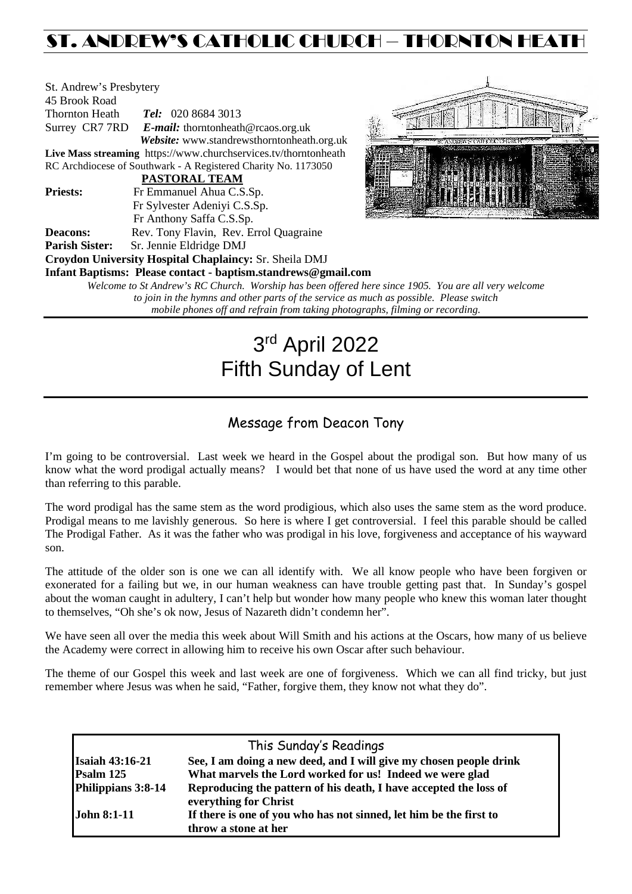# ST. ANDREW'S CATHOLIC CHURCH – THORNTON HEAT

| St. Andrew's Presbytery                                             |                                                               |  |  |  |  |
|---------------------------------------------------------------------|---------------------------------------------------------------|--|--|--|--|
| 45 Brook Road                                                       |                                                               |  |  |  |  |
| <b>Thornton Heath</b>                                               | <b>Tel:</b> 020 8684 3013                                     |  |  |  |  |
|                                                                     | Surrey CR7 7RD E-mail: thorntonheath@rcaos.org.uk             |  |  |  |  |
|                                                                     | Website: www.standrewsthorntonheath.org.uk                    |  |  |  |  |
| Live Mass streaming https://www.churchservices.tv/thorntonheath     |                                                               |  |  |  |  |
| RC Archdiocese of Southwark - A Registered Charity No. 1173050      |                                                               |  |  |  |  |
|                                                                     | PASTORAL TEAM                                                 |  |  |  |  |
| <b>Priests:</b>                                                     | Fr Emmanuel Ahua C.S.Sp.                                      |  |  |  |  |
|                                                                     | Fr Sylvester Adeniyi C.S.Sp.                                  |  |  |  |  |
|                                                                     | Fr Anthony Saffa C.S.Sp.                                      |  |  |  |  |
| <b>Deacons:</b>                                                     | Rev. Tony Flavin, Rev. Errol Quagraine                        |  |  |  |  |
| <b>Parish Sister:</b>                                               | Sr. Jennie Eldridge DMJ                                       |  |  |  |  |
|                                                                     | Croydon University Hospital Chaplaincy: Sr. Sheila DMJ        |  |  |  |  |
|                                                                     | Infant Baptisms: Please contact - baptism.standrews@gmail.com |  |  |  |  |
| Welcome to St Andrew's RC Church. Worship has been offered here sin |                                                               |  |  |  |  |



*Welcome to St Andrew's RC Church. Worship has been offered here since 1905. You are all very welcome to join in the hymns and other parts of the service as much as possible. Please switch mobile phones off and refrain from taking photographs, filming or recording.*

# 3rd April 2022 Fifth Sunday of Lent

# Message from Deacon Tony

I'm going to be controversial. Last week we heard in the Gospel about the prodigal son. But how many of us know what the word prodigal actually means? I would bet that none of us have used the word at any time other than referring to this parable.

The word prodigal has the same stem as the word prodigious, which also uses the same stem as the word produce. Prodigal means to me lavishly generous. So here is where I get controversial. I feel this parable should be called The Prodigal Father. As it was the father who was prodigal in his love, forgiveness and acceptance of his wayward son.

The attitude of the older son is one we can all identify with. We all know people who have been forgiven or exonerated for a failing but we, in our human weakness can have trouble getting past that. In Sunday's gospel about the woman caught in adultery, I can't help but wonder how many people who knew this woman later thought to themselves, "Oh she's ok now, Jesus of Nazareth didn't condemn her".

We have seen all over the media this week about Will Smith and his actions at the Oscars, how many of us believe the Academy were correct in allowing him to receive his own Oscar after such behaviour.

The theme of our Gospel this week and last week are one of forgiveness. Which we can all find tricky, but just remember where Jesus was when he said, "Father, forgive them, they know not what they do".

| This Sunday's Readings |                                                                                            |  |  |  |
|------------------------|--------------------------------------------------------------------------------------------|--|--|--|
| <b>Isaiah 43:16-21</b> | See, I am doing a new deed, and I will give my chosen people drink                         |  |  |  |
| Psalm 125              | What marvels the Lord worked for us! Indeed we were glad                                   |  |  |  |
| Philippians 3:8-14     | Reproducing the pattern of his death, I have accepted the loss of<br>everything for Christ |  |  |  |
| <b>John 8:1-11</b>     | If there is one of you who has not sinned, let him be the first to<br>throw a stone at her |  |  |  |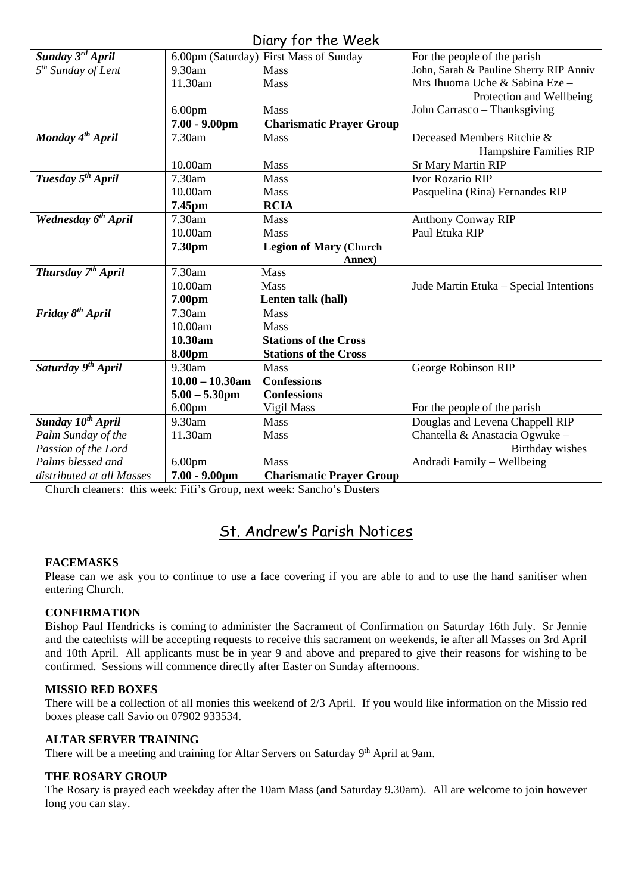# Diary for the Week

|                                 |                    | UNIY JUI IIIC WEEN                     |                                        |
|---------------------------------|--------------------|----------------------------------------|----------------------------------------|
| Sunday 3 <sup>rd</sup> April    |                    | 6.00pm (Saturday) First Mass of Sunday | For the people of the parish           |
| $5th$ Sunday of Lent            | 9.30am             | <b>Mass</b>                            | John, Sarah & Pauline Sherry RIP Anniv |
|                                 | 11.30am            | Mass                                   | Mrs Ihuoma Uche & Sabina Eze -         |
|                                 |                    |                                        | Protection and Wellbeing               |
|                                 | 6.00 <sub>pm</sub> | Mass                                   | John Carrasco - Thanksgiving           |
|                                 | $7.00 - 9.00$ pm   | <b>Charismatic Prayer Group</b>        |                                        |
| Monday 4 <sup>th</sup> April    | 7.30am             | <b>Mass</b>                            | Deceased Members Ritchie &             |
|                                 |                    |                                        | Hampshire Families RIP                 |
|                                 | 10.00am            | Mass                                   | <b>Sr Mary Martin RIP</b>              |
| Tuesday 5 <sup>th</sup> April   | 7.30am             | <b>Mass</b>                            | <b>Ivor Rozario RIP</b>                |
|                                 | 10.00am            | <b>Mass</b>                            | Pasquelina (Rina) Fernandes RIP        |
|                                 | 7.45pm             | <b>RCIA</b>                            |                                        |
| Wednesday 6 <sup>th</sup> April | 7.30am             | Mass                                   | <b>Anthony Conway RIP</b>              |
|                                 | 10.00am            | <b>Mass</b>                            | Paul Etuka RIP                         |
|                                 | 7.30pm             | <b>Legion of Mary (Church</b>          |                                        |
|                                 |                    | Annex)                                 |                                        |
| Thursday 7 <sup>th</sup> April  | 7.30am             | <b>Mass</b>                            |                                        |
|                                 | 10.00am            | <b>Mass</b>                            | Jude Martin Etuka - Special Intentions |
|                                 | 7.00pm             | Lenten talk (hall)                     |                                        |
| Friday 8 <sup>th</sup> April    | 7.30am             | Mass                                   |                                        |
|                                 | 10.00am            | <b>Mass</b>                            |                                        |
|                                 | 10.30am            | <b>Stations of the Cross</b>           |                                        |
|                                 | 8.00pm             | <b>Stations of the Cross</b>           |                                        |
| Saturday 9 <sup>th</sup> April  | 9.30am             | Mass                                   | George Robinson RIP                    |
|                                 | $10.00 - 10.30$ am | <b>Confessions</b>                     |                                        |
|                                 | $5.00 - 5.30$ pm   | <b>Confessions</b>                     |                                        |
|                                 | 6.00 <sub>pm</sub> | Vigil Mass                             | For the people of the parish           |
| Sunday 10 <sup>th</sup> April   | 9.30am             | <b>Mass</b>                            | Douglas and Levena Chappell RIP        |
| Palm Sunday of the              | 11.30am            | Mass                                   | Chantella & Anastacia Ogwuke -         |
| Passion of the Lord             |                    |                                        | Birthday wishes                        |
| Palms blessed and               | 6.00 <sub>pm</sub> | <b>Mass</b>                            | Andradi Family – Wellbeing             |
| distributed at all Masses       | $7.00 - 9.00$ pm   | <b>Charismatic Prayer Group</b>        |                                        |

Church cleaners: this week: Fifi's Group, next week: Sancho's Dusters

# St. Andrew's Parish Notices

# **FACEMASKS**

Please can we ask you to continue to use a face covering if you are able to and to use the hand sanitiser when entering Church.

# **CONFIRMATION**

Bishop Paul Hendricks is coming to administer the Sacrament of Confirmation on Saturday 16th July. Sr Jennie and the catechists will be accepting requests to receive this sacrament on weekends, ie after all Masses on 3rd April and 10th April. All applicants must be in year 9 and above and prepared to give their reasons for wishing to be confirmed. Sessions will commence directly after Easter on Sunday afternoons.

# **MISSIO RED BOXES**

There will be a collection of all monies this weekend of 2/3 April. If you would like information on the Missio red boxes please call Savio on 07902 933534.

# **ALTAR SERVER TRAINING**

There will be a meeting and training for Altar Servers on Saturday 9<sup>th</sup> April at 9am.

#### **THE ROSARY GROUP**

The Rosary is prayed each weekday after the 10am Mass (and Saturday 9.30am). All are welcome to join however long you can stay.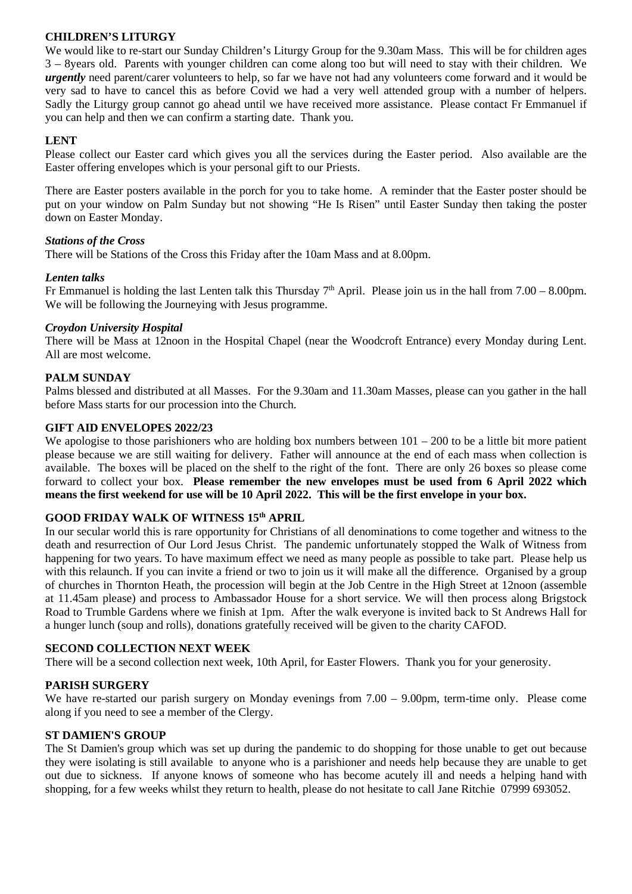# **CHILDREN'S LITURGY**

We would like to re-start our Sunday Children's Liturgy Group for the 9.30am Mass. This will be for children ages 3 – 8years old. Parents with younger children can come along too but will need to stay with their children. We *urgently* need parent/carer volunteers to help, so far we have not had any volunteers come forward and it would be very sad to have to cancel this as before Covid we had a very well attended group with a number of helpers. Sadly the Liturgy group cannot go ahead until we have received more assistance. Please contact Fr Emmanuel if you can help and then we can confirm a starting date. Thank you.

# **LENT**

Please collect our Easter card which gives you all the services during the Easter period. Also available are the Easter offering envelopes which is your personal gift to our Priests.

There are Easter posters available in the porch for you to take home. A reminder that the Easter poster should be put on your window on Palm Sunday but not showing "He Is Risen" until Easter Sunday then taking the poster down on Easter Monday.

#### *Stations of the Cross*

There will be Stations of the Cross this Friday after the 10am Mass and at 8.00pm.

## *Lenten talks*

Fr Emmanuel is holding the last Lenten talk this Thursday  $7<sup>th</sup>$  April. Please join us in the hall from  $7.00 - 8.00$ pm. We will be following the Journeying with Jesus programme.

#### *Croydon University Hospital*

There will be Mass at 12noon in the Hospital Chapel (near the Woodcroft Entrance) every Monday during Lent. All are most welcome.

## **PALM SUNDAY**

Palms blessed and distributed at all Masses. For the 9.30am and 11.30am Masses, please can you gather in the hall before Mass starts for our procession into the Church.

## **GIFT AID ENVELOPES 2022/23**

We apologise to those parishioners who are holding box numbers between  $101 - 200$  to be a little bit more patient please because we are still waiting for delivery. Father will announce at the end of each mass when collection is available. The boxes will be placed on the shelf to the right of the font. There are only 26 boxes so please come forward to collect your box. **Please remember the new envelopes must be used from 6 April 2022 which means the first weekend for use will be 10 April 2022. This will be the first envelope in your box.** 

# **GOOD FRIDAY WALK OF WITNESS 15th APRIL**

In our secular world this is rare opportunity for Christians of all denominations to come together and witness to the death and resurrection of Our Lord Jesus Christ. The pandemic unfortunately stopped the Walk of Witness from happening for two years. To have maximum effect we need as many people as possible to take part. Please help us with this relaunch. If you can invite a friend or two to join us it will make all the difference. Organised by a group of churches in Thornton Heath, the procession will begin at the Job Centre in the High Street at 12noon (assemble at 11.45am please) and process to Ambassador House for a short service. We will then process along Brigstock Road to Trumble Gardens where we finish at 1pm. After the walk everyone is invited back to St Andrews Hall for a hunger lunch (soup and rolls), donations gratefully received will be given to the charity CAFOD.

#### **SECOND COLLECTION NEXT WEEK**

There will be a second collection next week, 10th April, for Easter Flowers. Thank you for your generosity.

#### **PARISH SURGERY**

We have re-started our parish surgery on Monday evenings from 7.00 – 9.00pm, term-time only. Please come along if you need to see a member of the Clergy.

#### **ST DAMIEN'S GROUP**

The St Damien's group which was set up during the pandemic to do shopping for those unable to get out because they were isolating is still available to anyone who is a parishioner and needs help because they are unable to get out due to sickness. If anyone knows of someone who has become acutely ill and needs a helping hand with shopping, for a few weeks whilst they return to health, please do not hesitate to call Jane Ritchie 07999 693052.